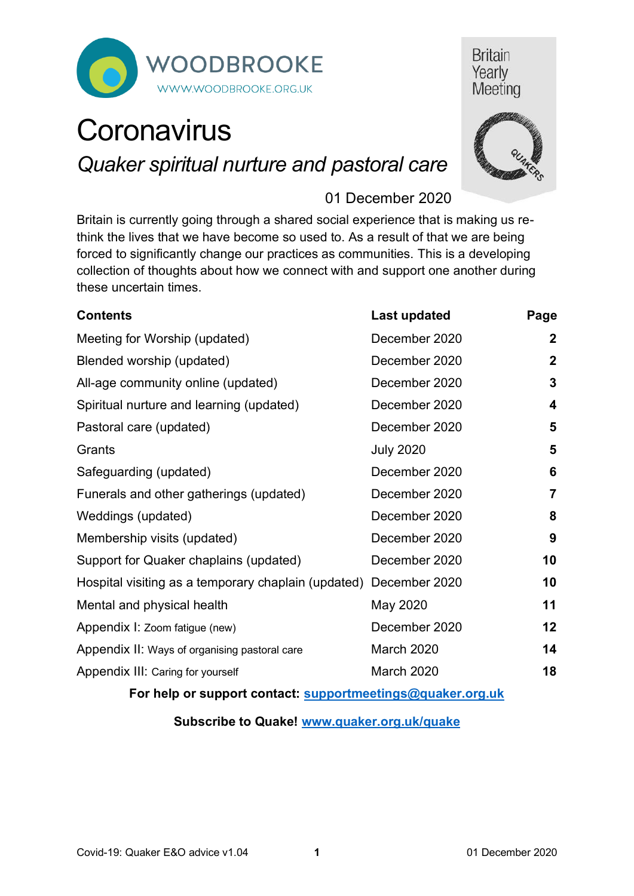

# **Britain** Yearly Meeting

# **Coronavirus** *Quaker spiritual nurture and pastoral care*



# 01 December 2020

Britain is currently going through a shared social experience that is making us rethink the lives that we have become so used to. As a result of that we are being forced to significantly change our practices as communities. This is a developing collection of thoughts about how we connect with and support one another during these uncertain times.

| <b>Contents</b>                                                   | <b>Last updated</b> | Page                    |
|-------------------------------------------------------------------|---------------------|-------------------------|
| Meeting for Worship (updated)                                     | December 2020       | $\mathbf 2$             |
| Blended worship (updated)                                         | December 2020       | $\boldsymbol{2}$        |
| All-age community online (updated)                                | December 2020       | 3                       |
| Spiritual nurture and learning (updated)                          | December 2020       | $\overline{\mathbf{4}}$ |
| Pastoral care (updated)                                           | December 2020       | 5                       |
| Grants                                                            | <b>July 2020</b>    | 5                       |
| Safeguarding (updated)                                            | December 2020       | 6                       |
| Funerals and other gatherings (updated)                           | December 2020       | $\overline{7}$          |
| Weddings (updated)                                                | December 2020       | 8                       |
| Membership visits (updated)                                       | December 2020       | 9                       |
| Support for Quaker chaplains (updated)                            | December 2020       | 10                      |
| Hospital visiting as a temporary chaplain (updated) December 2020 |                     | 10                      |
| Mental and physical health                                        | May 2020            | 11                      |
| Appendix I: Zoom fatigue (new)                                    | December 2020       | 12                      |
| Appendix II: Ways of organising pastoral care                     | March 2020          | 14                      |
| Appendix III: Caring for yourself                                 | March 2020          | 18                      |
| For help or support contact: supportmeetings@quaker.org.uk        |                     |                         |

**Subscribe to Quake! [www.quaker.org.uk/quake](http://www.quaker.org.uk/quake)**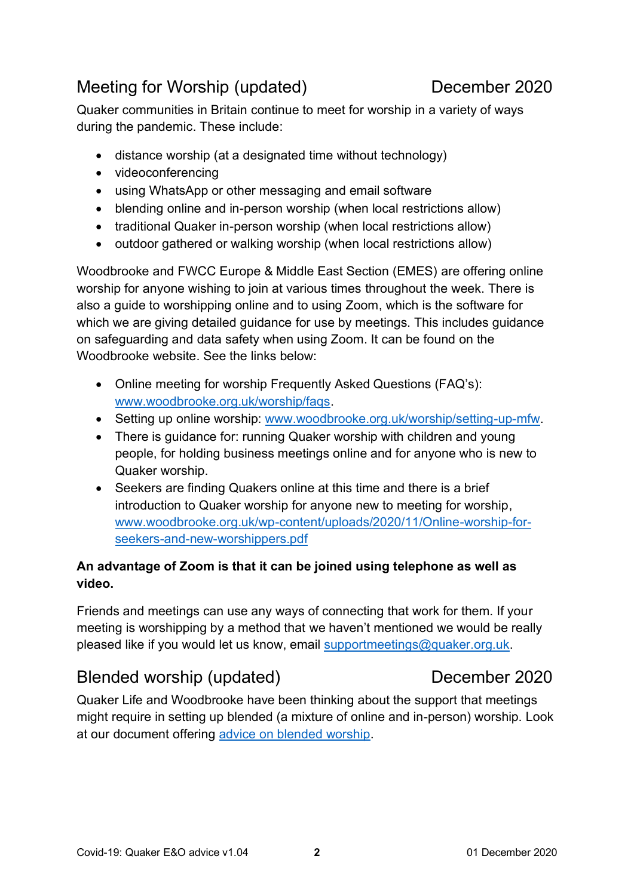# <span id="page-1-0"></span>Meeting for Worship (updated) December 2020

Quaker communities in Britain continue to meet for worship in a variety of ways during the pandemic. These include:

- distance worship (at a designated time without technology)
- videoconferencing
- using WhatsApp or other messaging and email software
- blending online and in-person worship (when local restrictions allow)
- traditional Quaker in-person worship (when local restrictions allow)
- outdoor gathered or walking worship (when local restrictions allow)

Woodbrooke and FWCC Europe & Middle East Section (EMES) are offering online worship for anyone wishing to join at various times throughout the week. There is also a guide to worshipping online and to using Zoom, which is the software for which we are giving detailed guidance for use by meetings. This includes guidance on safeguarding and data safety when using Zoom. It can be found on the Woodbrooke website. See the links below:

- Online meeting for worship Frequently Asked Questions (FAQ's): [www.woodbrooke.org.uk/worship/faqs.](http://www.woodbrooke.org.uk/worship/faqs/)
- Setting up online worship: [www.woodbrooke.org.uk/worship/setting-up-mfw.](http://www.woodbrooke.org.uk/worship/setting-up-mfw)
- There is quidance for: running Quaker worship with children and young people, for holding business meetings online and for anyone who is new to Quaker worship.
- Seekers are finding Quakers online at this time and there is a brief introduction to Quaker worship for anyone new to meeting for worship, [www.woodbrooke.org.uk/wp-content/uploads/2020/11/Online-worship-for](http://www.woodbrooke.org.uk/wp-content/uploads/2020/11/Online-worship-for-seekers-and-new-worshippers.pdf)[seekers-and-new-worshippers.pdf](http://www.woodbrooke.org.uk/wp-content/uploads/2020/11/Online-worship-for-seekers-and-new-worshippers.pdf)

# **An advantage of Zoom is that it can be joined using telephone as well as video.**

Friends and meetings can use any ways of connecting that work for them. If your meeting is worshipping by a method that we haven't mentioned we would be really pleased like if you would let us know, email [supportmeetings@quaker.org.uk.](mailto:supportmeetings@quaker.org.uk)

# <span id="page-1-1"></span>Blended worship (updated) December 2020

Quaker Life and Woodbrooke have been thinking about the support that meetings might require in setting up blended (a mixture of online and in-person) worship. Look at our document offering advice [on blended worship.](https://www.quaker.org.uk/documents/thoughts-on-blended-worship)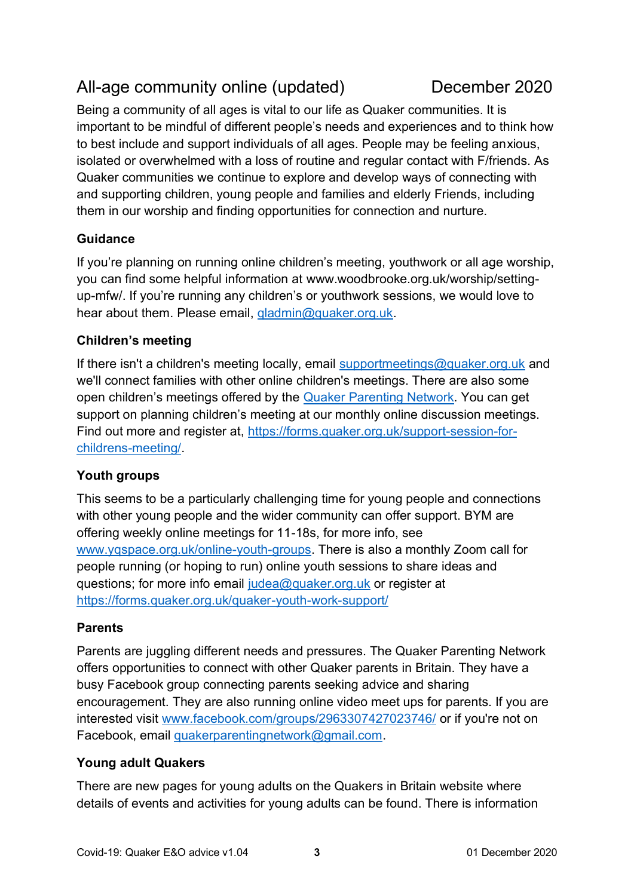# <span id="page-2-0"></span>All-age community online (updated) December 2020

Being a community of all ages is vital to our life as Quaker communities. It is important to be mindful of different people's needs and experiences and to think how to best include and support individuals of all ages. People may be feeling anxious, isolated or overwhelmed with a loss of routine and regular contact with F/friends. As Quaker communities we continue to explore and develop ways of connecting with and supporting children, young people and families and elderly Friends, including them in our worship and finding opportunities for connection and nurture.

# **Guidance**

If you're planning on running online children's meeting, youthwork or all age worship, you can find some helpful information at www.woodbrooke.org.uk/worship/settingup-mfw/. If you're running any children's or youthwork sessions, we would love to hear about them. Please email, gladmin@quaker.org.uk.

### **Children's meeting**

If there isn't a children's meeting locally, email [supportmeetings@quaker.org.uk](mailto:supportmeetings@quaker.org.uk) and we'll connect families with other online children's meetings. There are also some open children's meetings offered by the [Quaker Parenting Network.](http://www.facebook.com/groups/2963307427023746/) You can get support on planning children's meeting at our monthly online discussion meetings. Find out more and register at, [https://forms.quaker.org.uk/support-session-for](https://forms.quaker.org.uk/support-session-for-childrens-meeting/)[childrens-meeting/.](https://forms.quaker.org.uk/support-session-for-childrens-meeting/)

# **Youth groups**

This seems to be a particularly challenging time for young people and connections with other young people and the wider community can offer support. BYM are offering weekly online meetings for 11-18s, for more info, see [www.yqspace.org.uk/online-youth-groups.](http://www.yqspace.org.uk/online-youth-groups) There is also a monthly Zoom call for people running (or hoping to run) online youth sessions to share ideas and questions; for more info email [judea@quaker.org.uk](mailto:judea@quaker.org.uk) or register at <https://forms.quaker.org.uk/quaker-youth-work-support/>

# **Parents**

Parents are juggling different needs and pressures. The Quaker Parenting Network offers opportunities to connect with other Quaker parents in Britain. They have a busy Facebook group connecting parents seeking advice and sharing encouragement. They are also running online video meet ups for parents. If you are interested visit [www.facebook.com/groups/2963307427023746/](http://www.facebook.com/groups/2963307427023746/) or if you're not on Facebook, email [quakerparentingnetwork@gmail.com.](mailto:quakerparentingnetwork@gmail.com)

### **Young adult Quakers**

There are new pages for young adults on the Quakers in Britain website where details of events and activities for young adults can be found. There is information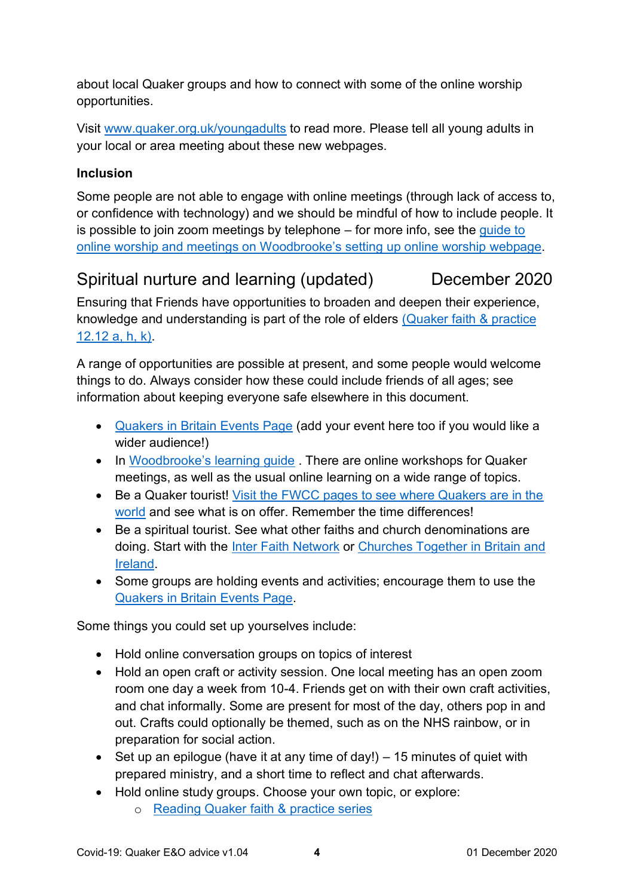about local Quaker groups and how to connect with some of the online worship opportunities.

Visit [www.quaker.org.uk/youngadults](http://www.quaker.org.uk/youngadults) to read more. Please tell all young adults in your local or area meeting about these new webpages.

### **Inclusion**

Some people are not able to engage with online meetings (through lack of access to, or confidence with technology) and we should be mindful of how to include people. It is possible to join zoom meetings by telephone – for more info, see the [guide to](https://www.woodbrooke.org.uk/worship/setting-up-mfw/)  [online worship and meetings on W](https://www.woodbrooke.org.uk/worship/setting-up-mfw/)oodbrooke's setting up online worship webpage.

# <span id="page-3-0"></span>Spiritual nurture and learning (updated) December 2020

Ensuring that Friends have opportunities to broaden and deepen their experience, knowledge and understanding is part of the role of elders [\(Quaker faith &](https://qfp.quaker.org.uk/passage/12-12/) practice [12.12 a, h, k\).](https://qfp.quaker.org.uk/passage/12-12/)

A range of opportunities are possible at present, and some people would welcome things to do. Always consider how these could include friends of all ages; see information about keeping everyone safe elsewhere in this document.

- [Quakers in Britain Events Page](https://www.quaker.org.uk/events) (add your event here too if you would like a wider audience!)
- In Woodbrooke's learning quide. There are online workshops for Quaker meetings, as well as the usual online learning on a wide range of topics.
- Be a Quaker tourist! [Visit the FWCC pages to see where Quakers are in the](http://www.fwcc.directory/)  [world](http://www.fwcc.directory/) and see what is on offer. Remember the time differences!
- Be a spiritual tourist. See what other faiths and church denominations are doing. Start with the *Inter Faith Network* or *Churches Together in Britain and* [Ireland.](https://ctbi.org.uk/)
- Some groups are holding events and activities; encourage them to use the [Quakers in Britain Events Page.](https://www.quaker.org.uk/events)

Some things you could set up yourselves include:

- Hold online conversation groups on topics of interest
- Hold an open craft or activity session. One local meeting has an open zoom room one day a week from 10-4. Friends get on with their own craft activities, and chat informally. Some are present for most of the day, others pop in and out. Crafts could optionally be themed, such as on the NHS rainbow, or in preparation for social action.
- Set up an epilogue (have it at any time of day!) 15 minutes of quiet with prepared ministry, and a short time to reflect and chat afterwards.
- Hold online study groups. Choose your own topic, or explore:
	- o [Reading Quaker faith &](https://together.woodbrooke.org.uk/resource.php?r=Q1) practice series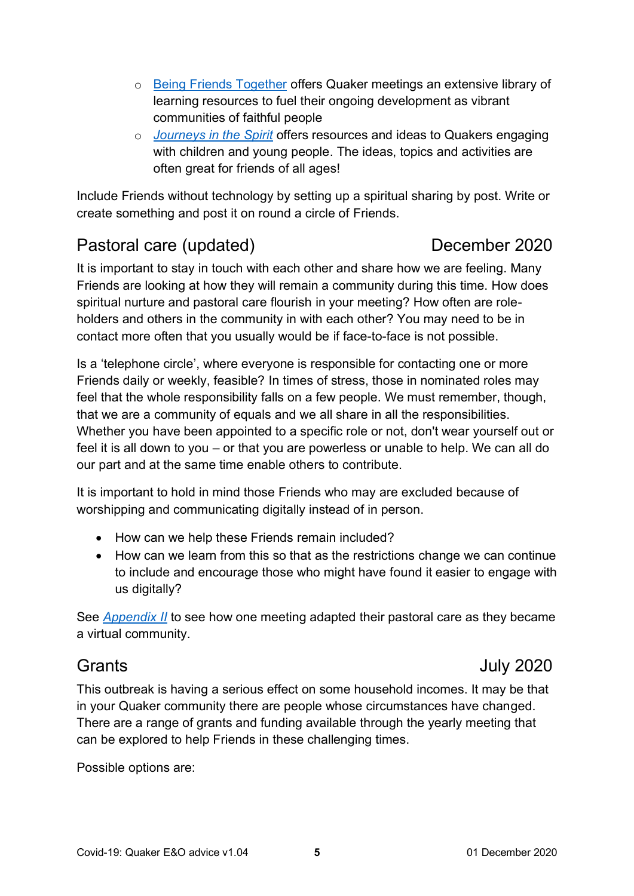- o [Being Friends Together](https://together.woodbrooke.org.uk/welcome.php) offers Quaker meetings an extensive library of learning resources to fuel their ongoing development as vibrant communities of faithful people
- o *[Journeys in the Spirit](https://together.woodbrooke.org.uk/resources.php)* offers resources and ideas to Quakers engaging with children and young people. The ideas, topics and activities are often great for friends of all ages!

Include Friends without technology by setting up a spiritual sharing by post. Write or create something and post it on round a circle of Friends.

# <span id="page-4-0"></span>Pastoral care (updated) December 2020

It is important to stay in touch with each other and share how we are feeling. Many Friends are looking at how they will remain a community during this time. How does spiritual nurture and pastoral care flourish in your meeting? How often are roleholders and others in the community in with each other? You may need to be in contact more often that you usually would be if face-to-face is not possible.

Is a 'telephone circle', where everyone is responsible for contacting one or more Friends daily or weekly, feasible? In times of stress, those in nominated roles may feel that the whole responsibility falls on a few people. We must remember, though, that we are a community of equals and we all share in all the responsibilities. Whether you have been appointed to a specific role or not, don't wear yourself out or feel it is all down to you – or that you are powerless or unable to help. We can all do our part and at the same time enable others to contribute.

It is important to hold in mind those Friends who may are excluded because of worshipping and communicating digitally instead of in person.

- How can we help these Friends remain included?
- How can we learn from this so that as the restrictions change we can continue to include and encourage those who might have found it easier to engage with us digitally?

See *[Appendix II](#page-13-0)* to see how one meeting adapted their pastoral care as they became a virtual community.

# <span id="page-4-1"></span>Grants July 2020

This outbreak is having a serious effect on some household incomes. It may be that in your Quaker community there are people whose circumstances have changed. There are a range of grants and funding available through the yearly meeting that can be explored to help Friends in these challenging times.

Possible options are: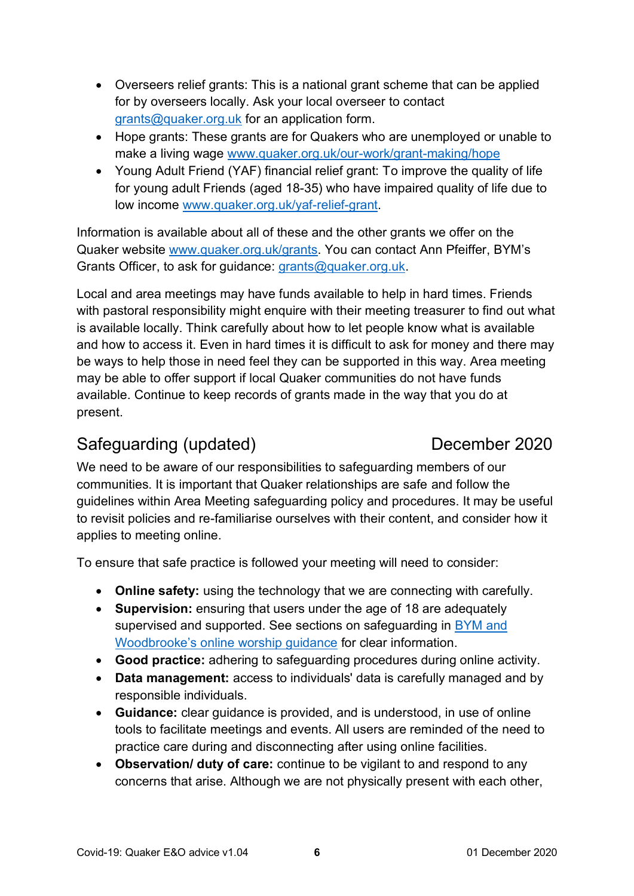- Overseers relief grants: This is a national grant scheme that can be applied for by overseers locally. Ask your local overseer to contact [grants@quaker.org.uk](mailto:grants@quaker.org.uk) for an application form.
- Hope grants: These grants are for Quakers who are unemployed or unable to make a living wage [www.quaker.org.uk/our-work/grant-making/hope](http://www.quaker.org.uk/our-work/grant-making/hope)
- Young Adult Friend (YAF) financial relief grant: To improve the quality of life for young adult Friends (aged 18-35) who have impaired quality of life due to low income [www.quaker.org.uk/yaf-relief-grant.](http://www.quaker.org.uk/yaf-relief-grant)

Information is available about all of these and the other grants we offer on the Quaker website [www.quaker.org.uk/grants.](http://www.quaker.org.uk/grants) You can contact Ann Pfeiffer, BYM's Grants Officer, to ask for guidance: [grants@quaker.org.uk.](mailto:grants@quaker.org.uk)

Local and area meetings may have funds available to help in hard times. Friends with pastoral responsibility might enquire with their meeting treasurer to find out what is available locally. Think carefully about how to let people know what is available and how to access it. Even in hard times it is difficult to ask for money and there may be ways to help those in need feel they can be supported in this way. Area meeting may be able to offer support if local Quaker communities do not have funds available. Continue to keep records of grants made in the way that you do at present.

# <span id="page-5-0"></span>Safeguarding (updated) December 2020

We need to be aware of our responsibilities to safeguarding members of our communities. It is important that Quaker relationships are safe and follow the guidelines within Area Meeting safeguarding policy and procedures. It may be useful to revisit policies and re-familiarise ourselves with their content, and consider how it applies to meeting online.

To ensure that safe practice is followed your meeting will need to consider:

- **Online safety:** using the technology that we are connecting with carefully.
- **Supervision:** ensuring that users under the age of 18 are adequately supervised and supported. See sections on safeguarding in [BYM and](https://www.woodbrooke.org.uk/wp-content/uploads/2020/10/A-Quakers-guide-to-online-worship-and-meetings-21-08-2020-v5-2B.pdf)  Woodbrooke's [online worship guidance](https://www.woodbrooke.org.uk/wp-content/uploads/2020/10/A-Quakers-guide-to-online-worship-and-meetings-21-08-2020-v5-2B.pdf) for clear information.
- **Good practice:** adhering to safeguarding procedures during online activity.
- **Data management:** access to individuals' data is carefully managed and by responsible individuals.
- **Guidance:** clear guidance is provided, and is understood, in use of online tools to facilitate meetings and events. All users are reminded of the need to practice care during and disconnecting after using online facilities.
- **Observation/ duty of care:** continue to be vigilant to and respond to any concerns that arise. Although we are not physically present with each other,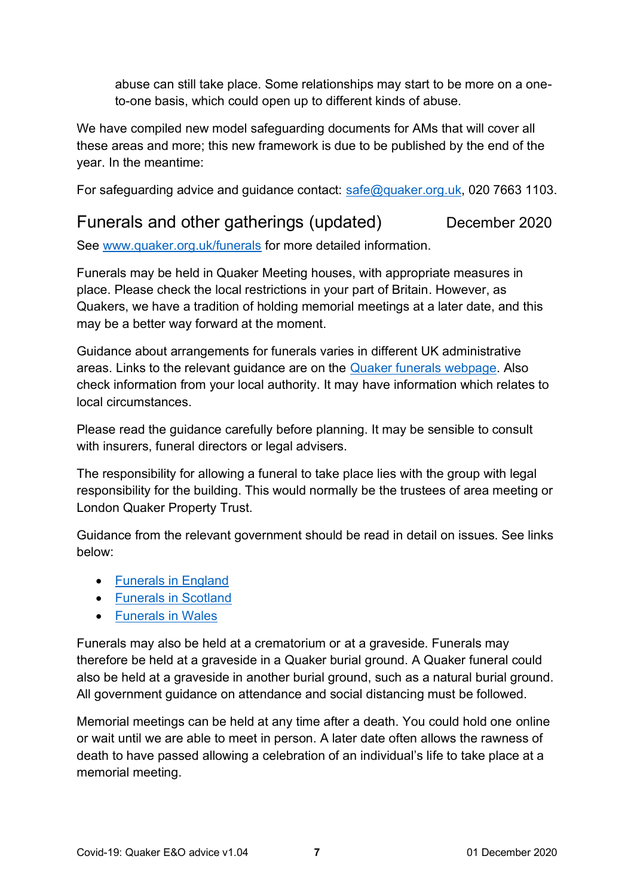abuse can still take place. Some relationships may start to be more on a oneto-one basis, which could open up to different kinds of abuse.

We have compiled new model safeguarding documents for AMs that will cover all these areas and more; this new framework is due to be published by the end of the year. In the meantime:

For safeguarding advice and guidance contact: [safe@quaker.org.uk,](mailto:safe@quaker.org.uk) 020 7663 1103.

# <span id="page-6-0"></span>Funerals and other gatherings (updated) December 2020

See [www.quaker.org.uk/funerals](http://www.quaker.org.uk/funerals) for more detailed information.

Funerals may be held in Quaker Meeting houses, with appropriate measures in place. Please check the local restrictions in your part of Britain. However, as Quakers, we have a tradition of holding memorial meetings at a later date, and this may be a better way forward at the moment.

Guidance about arrangements for funerals varies in different UK administrative areas. Links to the relevant guidance are on the [Quaker funerals webpage.](http://www.quaker.org.uk/funerals) Also check information from your local authority. It may have information which relates to local circumstances.

Please read the guidance carefully before planning. It may be sensible to consult with insurers, funeral directors or legal advisers.

The responsibility for allowing a funeral to take place lies with the group with legal responsibility for the building. This would normally be the trustees of area meeting or London Quaker Property Trust.

Guidance from the relevant government should be read in detail on issues. See links below:

- [Funerals in England](https://www.gov.uk/government/publications/covid-19-guidance-for-managing-a-funeral-during-the-coronavirus-pandemic)
- [Funerals in Scotland](https://www.gov.scot/publications/coronavirus-covid-19-guidance-for-funeral-services/)
- [Funerals in Wales](https://gov.wales/advice-bereaved-coronavirus-covid-19)

Funerals may also be held at a crematorium or at a graveside. Funerals may therefore be held at a graveside in a Quaker burial ground. A Quaker funeral could also be held at a graveside in another burial ground, such as a natural burial ground. All government guidance on attendance and social distancing must be followed.

Memorial meetings can be held at any time after a death. You could hold one online or wait until we are able to meet in person. A later date often allows the rawness of death to have passed allowing a celebration of an individual's life to take place at a memorial meeting.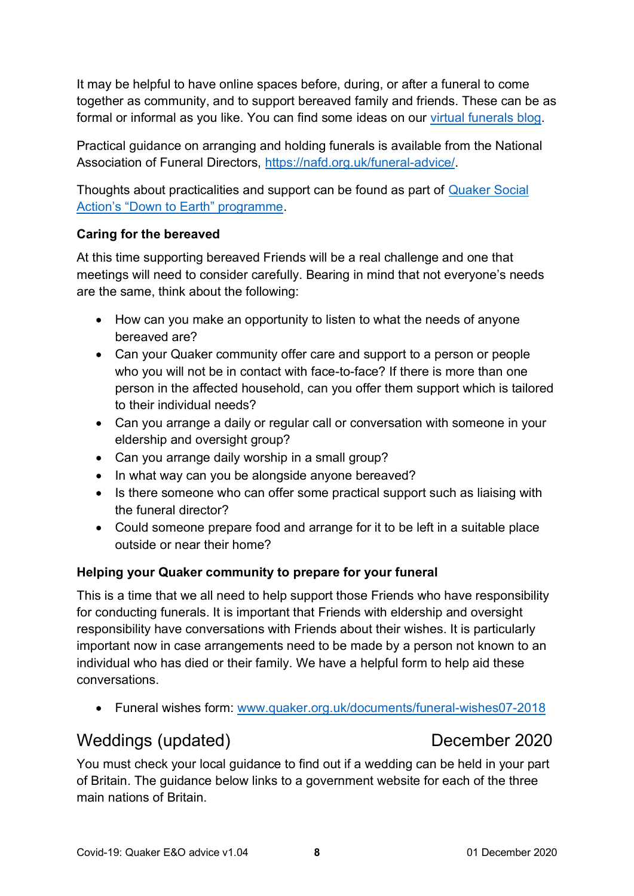It may be helpful to have online spaces before, during, or after a funeral to come together as community, and to support bereaved family and friends. These can be as formal or informal as you like. You can find some ideas on our [virtual funerals](https://www.quaker.org.uk/blog/virtual-funerals) blog.

Practical guidance on arranging and holding funerals is available from the National Association of Funeral Directors, [https://nafd.org.uk/funeral-advice/.](https://nafd.org.uk/funeral-advice/)

Thoughts about practicalities and support can be found as part of [Quaker Social](https://quakersocialaction.org.uk/we-can-help/helping-funerals/down-earth/information-and-guidance/coronavirus-organising-meaningful)  [Action's "Down to Earth" programme](https://quakersocialaction.org.uk/we-can-help/helping-funerals/down-earth/information-and-guidance/coronavirus-organising-meaningful).

# **Caring for the bereaved**

At this time supporting bereaved Friends will be a real challenge and one that meetings will need to consider carefully. Bearing in mind that not everyone's needs are the same, think about the following:

- How can you make an opportunity to listen to what the needs of anyone bereaved are?
- Can your Quaker community offer care and support to a person or people who you will not be in contact with face-to-face? If there is more than one person in the affected household, can you offer them support which is tailored to their individual needs?
- Can you arrange a daily or regular call or conversation with someone in your eldership and oversight group?
- Can you arrange daily worship in a small group?
- In what way can you be alongside anyone bereaved?
- Is there someone who can offer some practical support such as liaising with the funeral director?
- Could someone prepare food and arrange for it to be left in a suitable place outside or near their home?

# **Helping your Quaker community to prepare for your funeral**

This is a time that we all need to help support those Friends who have responsibility for conducting funerals. It is important that Friends with eldership and oversight responsibility have conversations with Friends about their wishes. It is particularly important now in case arrangements need to be made by a person not known to an individual who has died or their family. We have a helpful form to help aid these conversations.

• Funeral wishes form: [www.quaker.org.uk/documents/funeral-wishes07-2018](http://www.quaker.org.uk/documents/funeral-wishes07-2018)

# <span id="page-7-0"></span>Weddings (updated) December 2020

You must check your local guidance to find out if a wedding can be held in your part of Britain. The guidance below links to a government website for each of the three main nations of Britain.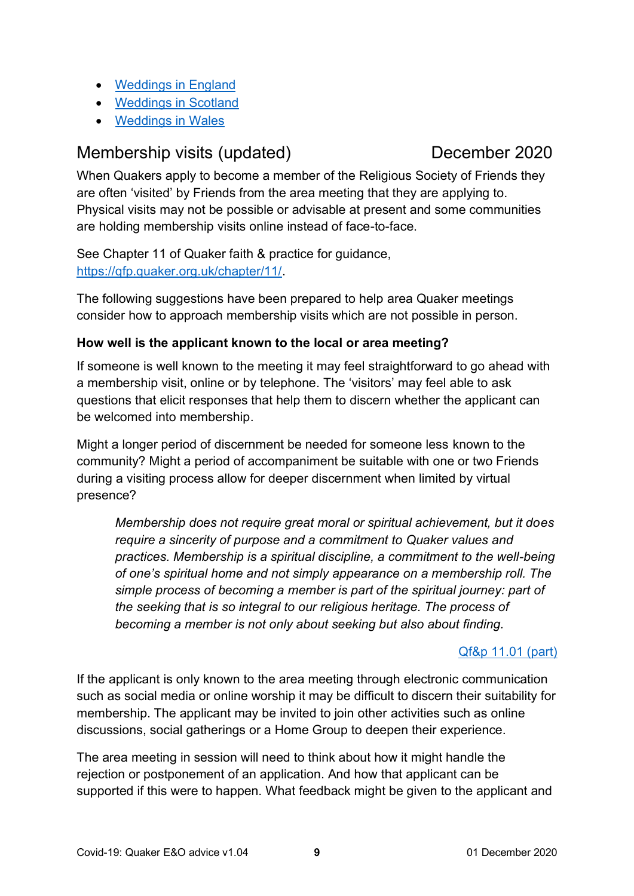- [Weddings in England](https://www.gov.uk/government/publications/covid-19-guidance-for-small-marriages-and-civil-partnerships)
- [Weddings in Scotland](https://www.mygov.scot/getting-married/)
- [Weddings in Wales](https://gov.wales/guidance-marriages-and-civil-partnerships-coronavirus-html)

# <span id="page-8-0"></span>Membership visits (updated) December 2020

When Quakers apply to become a member of the Religious Society of Friends they are often 'visited' by Friends from the area meeting that they are applying to. Physical visits may not be possible or advisable at present and some communities are holding membership visits online instead of face-to-face.

See Chapter 11 of Quaker faith & practice for guidance, [https://qfp.quaker.org.uk/chapter/11/.](https://qfp.quaker.org.uk/chapter/11/)

The following suggestions have been prepared to help area Quaker meetings consider how to approach membership visits which are not possible in person.

# **How well is the applicant known to the local or area meeting?**

If someone is well known to the meeting it may feel straightforward to go ahead with a membership visit, online or by telephone. The 'visitors' may feel able to ask questions that elicit responses that help them to discern whether the applicant can be welcomed into membership.

Might a longer period of discernment be needed for someone less known to the community? Might a period of accompaniment be suitable with one or two Friends during a visiting process allow for deeper discernment when limited by virtual presence?

*Membership does not require great moral or spiritual achievement, but it does require a sincerity of purpose and a commitment to Quaker values and practices. Membership is a spiritual discipline, a commitment to the well-being of one's spiritual home and not simply appearance on a membership roll. The simple process of becoming a member is part of the spiritual journey: part of the seeking that is so integral to our religious heritage. The process of becoming a member is not only about seeking but also about finding.*

# [Qf&p 11.01 \(part\)](https://qfp.quaker.org.uk/passage/11-01/)

If the applicant is only known to the area meeting through electronic communication such as social media or online worship it may be difficult to discern their suitability for membership. The applicant may be invited to join other activities such as online discussions, social gatherings or a Home Group to deepen their experience.

The area meeting in session will need to think about how it might handle the rejection or postponement of an application. And how that applicant can be supported if this were to happen. What feedback might be given to the applicant and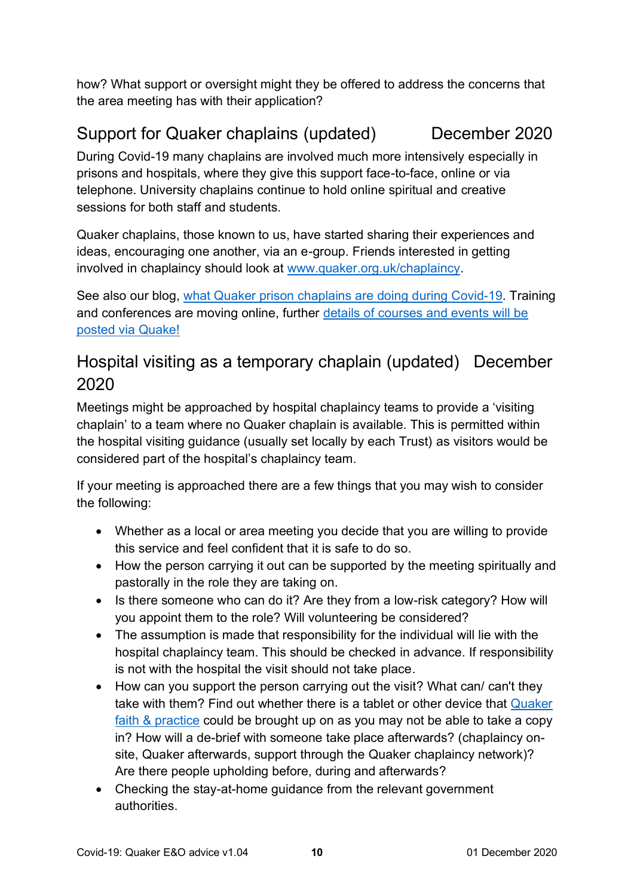how? What support or oversight might they be offered to address the concerns that the area meeting has with their application?

# <span id="page-9-0"></span>Support for Quaker chaplains (updated) December 2020

During Covid-19 many chaplains are involved much more intensively especially in prisons and hospitals, where they give this support face-to-face, online or via telephone. University chaplains continue to hold online spiritual and creative sessions for both staff and students.

Quaker chaplains, those known to us, have started sharing their experiences and ideas, encouraging one another, via an e-group. Friends interested in getting involved in chaplaincy should look at [www.quaker.org.uk/chaplaincy.](http://www.quaker.org.uk/chaplaincy)

See also our blog, [what Quaker prison chaplains are doing during Covid-19.](https://www.quaker.org.uk/blog/locked-up-in-lockdown-the-quaker-prison-chaplains-reaching-out) Training and conferences are moving online, further [details of courses and events](http://www.quaker.org.uk/quake) will be [posted via Quake!](http://www.quaker.org.uk/quake)

# <span id="page-9-1"></span>Hospital visiting as a temporary chaplain (updated) December 2020

Meetings might be approached by hospital chaplaincy teams to provide a 'visiting chaplain' to a team where no Quaker chaplain is available. This is permitted within the hospital visiting guidance (usually set locally by each Trust) as visitors would be considered part of the hospital's chaplaincy team.

If your meeting is approached there are a few things that you may wish to consider the following:

- Whether as a local or area meeting you decide that you are willing to provide this service and feel confident that it is safe to do so.
- How the person carrying it out can be supported by the meeting spiritually and pastorally in the role they are taking on.
- Is there someone who can do it? Are they from a low-risk category? How will you appoint them to the role? Will volunteering be considered?
- The assumption is made that responsibility for the individual will lie with the hospital chaplaincy team. This should be checked in advance. If responsibility is not with the hospital the visit should not take place.
- How can you support the person carrying out the visit? What can/ can't they take with them? Find out whether there is a tablet or other device that [Quaker](https://qfp.quaker.org.uk/)  faith & [practice](https://qfp.quaker.org.uk/) could be brought up on as you may not be able to take a copy in? How will a de-brief with someone take place afterwards? (chaplaincy onsite, Quaker afterwards, support through the Quaker chaplaincy network)? Are there people upholding before, during and afterwards?
- Checking the stay-at-home guidance from the relevant government authorities.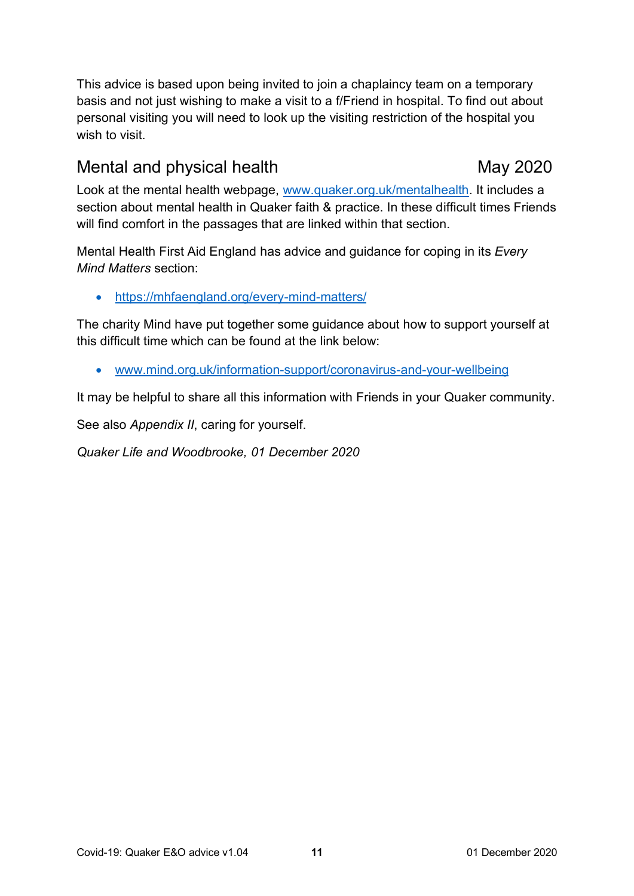This advice is based upon being invited to join a chaplaincy team on a temporary basis and not just wishing to make a visit to a f/Friend in hospital. To find out about personal visiting you will need to look up the visiting restriction of the hospital you wish to visit.

# <span id="page-10-0"></span>Mental and physical health May 2020

Look at the mental health webpage, [www.quaker.org.uk/mentalhealth.](http://www.quaker.org.uk/mentalhealth) It includes a section about mental health in Quaker faith & practice. In these difficult times Friends will find comfort in the passages that are linked within that section.

Mental Health First Aid England has advice and guidance for coping in its *Every Mind Matters* section:

• <https://mhfaengland.org/every-mind-matters/>

The charity Mind have put together some guidance about how to support yourself at this difficult time which can be found at the link below:

• [www.mind.org.uk/information-support/coronavirus-and-your-wellbeing](http://www.mind.org.uk/information-support/coronavirus-and-your-wellbeing)

It may be helpful to share all this information with Friends in your Quaker community.

See also *Appendix II*, caring for yourself.

*Quaker Life and Woodbrooke, 01 December 2020*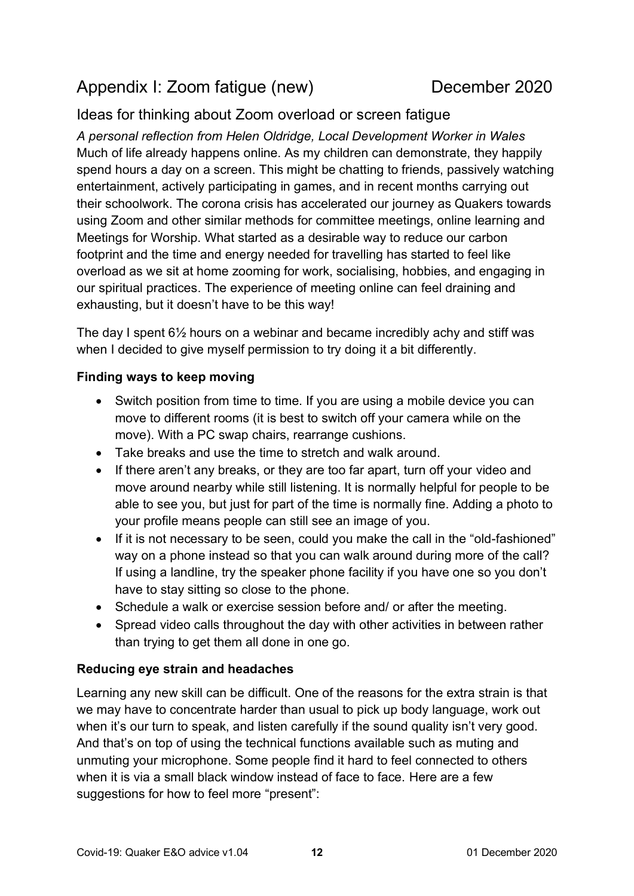# <span id="page-11-0"></span>Appendix I: Zoom fatigue (new) December 2020

# Ideas for thinking about Zoom overload or screen fatigue

*A personal reflection from Helen Oldridge, Local Development Worker in Wales* Much of life already happens online. As my children can demonstrate, they happily spend hours a day on a screen. This might be chatting to friends, passively watching entertainment, actively participating in games, and in recent months carrying out their schoolwork. The corona crisis has accelerated our journey as Quakers towards using Zoom and other similar methods for committee meetings, online learning and Meetings for Worship. What started as a desirable way to reduce our carbon footprint and the time and energy needed for travelling has started to feel like overload as we sit at home zooming for work, socialising, hobbies, and engaging in our spiritual practices. The experience of meeting online can feel draining and exhausting, but it doesn't have to be this way!

The day I spent 6½ hours on a webinar and became incredibly achy and stiff was when I decided to give myself permission to try doing it a bit differently.

### **Finding ways to keep moving**

- Switch position from time to time. If you are using a mobile device you can move to different rooms (it is best to switch off your camera while on the move). With a PC swap chairs, rearrange cushions.
- Take breaks and use the time to stretch and walk around.
- If there aren't any breaks, or they are too far apart, turn off your video and move around nearby while still listening. It is normally helpful for people to be able to see you, but just for part of the time is normally fine. Adding a photo to your profile means people can still see an image of you.
- If it is not necessary to be seen, could you make the call in the "old-fashioned" way on a phone instead so that you can walk around during more of the call? If using a landline, try the speaker phone facility if you have one so you don't have to stay sitting so close to the phone.
- Schedule a walk or exercise session before and/ or after the meeting.
- Spread video calls throughout the day with other activities in between rather than trying to get them all done in one go.

### **Reducing eye strain and headaches**

Learning any new skill can be difficult. One of the reasons for the extra strain is that we may have to concentrate harder than usual to pick up body language, work out when it's our turn to speak, and listen carefully if the sound quality isn't very good. And that's on top of using the technical functions available such as muting and unmuting your microphone. Some people find it hard to feel connected to others when it is via a small black window instead of face to face. Here are a few suggestions for how to feel more "present":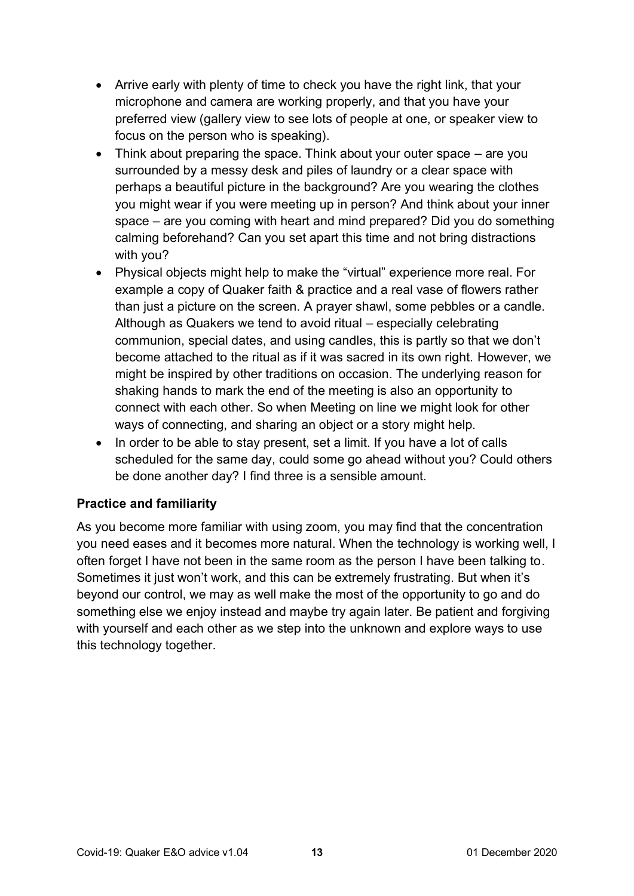- Arrive early with plenty of time to check you have the right link, that your microphone and camera are working properly, and that you have your preferred view (gallery view to see lots of people at one, or speaker view to focus on the person who is speaking).
- Think about preparing the space. Think about your outer space are you surrounded by a messy desk and piles of laundry or a clear space with perhaps a beautiful picture in the background? Are you wearing the clothes you might wear if you were meeting up in person? And think about your inner space – are you coming with heart and mind prepared? Did you do something calming beforehand? Can you set apart this time and not bring distractions with you?
- Physical objects might help to make the "virtual" experience more real. For example a copy of Quaker faith & practice and a real vase of flowers rather than just a picture on the screen. A prayer shawl, some pebbles or a candle. Although as Quakers we tend to avoid ritual – especially celebrating communion, special dates, and using candles, this is partly so that we don't become attached to the ritual as if it was sacred in its own right. However, we might be inspired by other traditions on occasion. The underlying reason for shaking hands to mark the end of the meeting is also an opportunity to connect with each other. So when Meeting on line we might look for other ways of connecting, and sharing an object or a story might help.
- In order to be able to stay present, set a limit. If you have a lot of calls scheduled for the same day, could some go ahead without you? Could others be done another day? I find three is a sensible amount.

### **Practice and familiarity**

As you become more familiar with using zoom, you may find that the concentration you need eases and it becomes more natural. When the technology is working well, I often forget I have not been in the same room as the person I have been talking to. Sometimes it just won't work, and this can be extremely frustrating. But when it's beyond our control, we may as well make the most of the opportunity to go and do something else we enjoy instead and maybe try again later. Be patient and forgiving with yourself and each other as we step into the unknown and explore ways to use this technology together.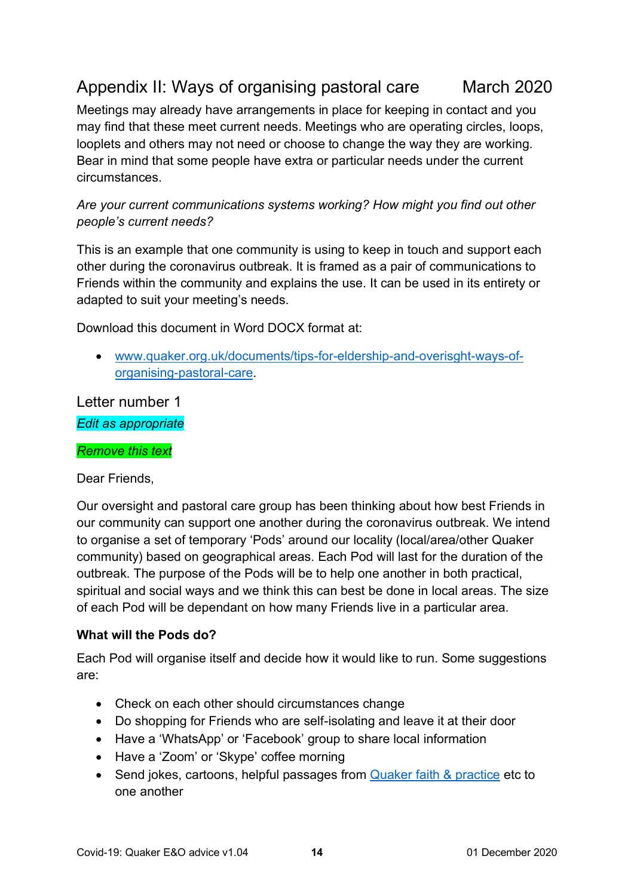# <span id="page-13-0"></span>Appendix II: Ways of organising pastoral care March 2020

Meetings may already have arrangements in place for keeping in contact and you may find that these meet current needs. Meetings who are operating circles, loops, looplets and others may not need or choose to change the way they are working. Bear in mind that some people have extra or particular needs under the current circumstances.

*Are your current communications systems working? How might you find out other people's current needs?*

This is an example that one community is using to keep in touch and support each other during the coronavirus outbreak. It is framed as a pair of communications to Friends within the community and explains the use. It can be used in its entirety or adapted to suit your meeting's needs.

Download this document in Word DOCX format at:

• [www.quaker.org.uk/documents/tips-for-eldership-and-overisght-ways-of](http://www.quaker.org.uk/documents/tips-for-eldership-and-overisght-ways-of-organising-pastoral-care)[organising-pastoral-care.](http://www.quaker.org.uk/documents/tips-for-eldership-and-overisght-ways-of-organising-pastoral-care)

Letter number 1 *Edit as appropriate*

### *Remove this text*

Dear Friends,

Our oversight and pastoral care group has been thinking about how best Friends in our community can support one another during the coronavirus outbreak. We intend to organise a set of temporary 'Pods' around our locality (local/area/other Quaker community) based on geographical areas. Each Pod will last for the duration of the outbreak. The purpose of the Pods will be to help one another in both practical, spiritual and social ways and we think this can best be done in local areas. The size of each Pod will be dependant on how many Friends live in a particular area.

### **What will the Pods do?**

Each Pod will organise itself and decide how it would like to run. Some suggestions are:

- Check on each other should circumstances change
- Do shopping for Friends who are self-isolating and leave it at their door
- Have a 'WhatsApp' or 'Facebook' group to share local information
- Have a 'Zoom' or 'Skype' coffee morning
- Send jokes, cartoons, helpful passages from [Quaker faith & practice](https://qfp.quaker.org.uk/) etc to one another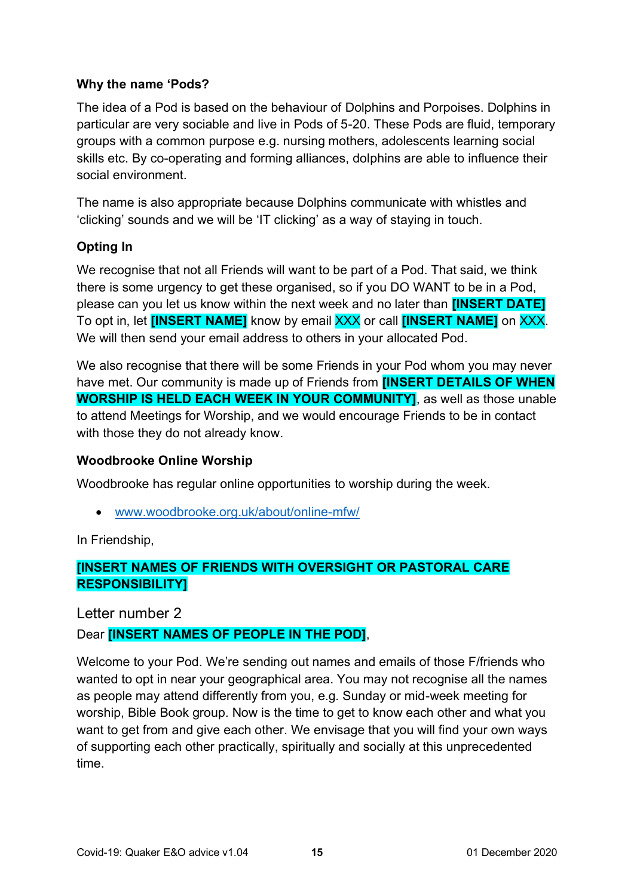### **Why the name 'Pods?**

The idea of a Pod is based on the behaviour of Dolphins and Porpoises. Dolphins in particular are very sociable and live in Pods of 5-20. These Pods are fluid, temporary groups with a common purpose e.g. nursing mothers, adolescents learning social skills etc. By co-operating and forming alliances, dolphins are able to influence their social environment.

The name is also appropriate because Dolphins communicate with whistles and 'clicking' sounds and we will be 'IT clicking' as a way of staying in touch.

# **Opting In**

We recognise that not all Friends will want to be part of a Pod. That said, we think there is some urgency to get these organised, so if you DO WANT to be in a Pod, please can you let us know within the next week and no later than **[INSERT DATE]** To opt in, let **[INSERT NAME]** know by email XXX or call **[INSERT NAME]** on XXX. We will then send your email address to others in your allocated Pod.

We also recognise that there will be some Friends in your Pod whom you may never have met. Our community is made up of Friends from **[INSERT DETAILS OF WHEN WORSHIP IS HELD EACH WEEK IN YOUR COMMUNITY]**, as well as those unable to attend Meetings for Worship, and we would encourage Friends to be in contact with those they do not already know.

### **Woodbrooke Online Worship**

Woodbrooke has regular online opportunities to worship during the week.

• [www.woodbrooke.org.uk/about/online-mfw/](http://www.woodbrooke.org.uk/about/online-mfw/)

In Friendship,

# **[INSERT NAMES OF FRIENDS WITH OVERSIGHT OR PASTORAL CARE RESPONSIBILITY]**

Letter number 2

# Dear **[INSERT NAMES OF PEOPLE IN THE POD]**,

Welcome to your Pod. We're sending out names and emails of those F/friends who wanted to opt in near your geographical area. You may not recognise all the names as people may attend differently from you, e.g. Sunday or mid-week meeting for worship, Bible Book group. Now is the time to get to know each other and what you want to get from and give each other. We envisage that you will find your own ways of supporting each other practically, spiritually and socially at this unprecedented time.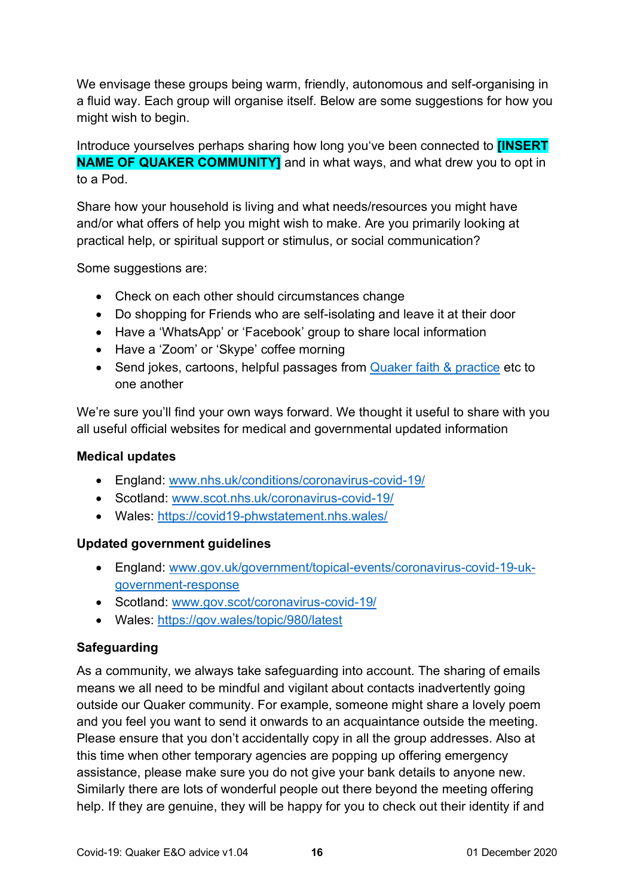We envisage these groups being warm, friendly, autonomous and self-organising in a fluid way. Each group will organise itself. Below are some suggestions for how you might wish to begin.

Introduce yourselves perhaps sharing how long you've been connected to **[INSERT NAME OF QUAKER COMMUNITY]** and in what ways, and what drew you to opt in to a Pod.

Share how your household is living and what needs/resources you might have and/or what offers of help you might wish to make. Are you primarily looking at practical help, or spiritual support or stimulus, or social communication?

Some suggestions are:

- Check on each other should circumstances change
- Do shopping for Friends who are self-isolating and leave it at their door
- Have a 'WhatsApp' or 'Facebook' group to share local information
- Have a 'Zoom' or 'Skype' coffee morning
- Send jokes, cartoons, helpful passages from [Quaker faith & practice](https://qfp.quaker.org.uk/) etc to one another

We're sure you'll find your own ways forward. We thought it useful to share with you all useful official websites for medical and governmental updated information

### **Medical updates**

- England: [www.nhs.uk/conditions/coronavirus-covid-19/](http://www.nhs.uk/conditions/coronavirus-covid-19/)
- Scotland: [www.scot.nhs.uk/coronavirus-covid-19/](http://www.scot.nhs.uk/coronavirus-covid-19/)
- Wales:<https://covid19-phwstatement.nhs.wales/>

### **Updated government guidelines**

- England: [www.gov.uk/government/topical-events/coronavirus-covid-19-uk](http://www.gov.uk/government/topical-events/coronavirus-covid-19-uk-government-response)[government-response](http://www.gov.uk/government/topical-events/coronavirus-covid-19-uk-government-response)
- Scotland: [www.gov.scot/coronavirus-covid-19/](http://www.gov.scot/coronavirus-covid-19/)
- Wales:<https://gov.wales/topic/980/latest>

### **Safeguarding**

As a community, we always take safeguarding into account. The sharing of emails means we all need to be mindful and vigilant about contacts inadvertently going outside our Quaker community. For example, someone might share a lovely poem and you feel you want to send it onwards to an acquaintance outside the meeting. Please ensure that you don't accidentally copy in all the group addresses. Also at this time when other temporary agencies are popping up offering emergency assistance, please make sure you do not give your bank details to anyone new. Similarly there are lots of wonderful people out there beyond the meeting offering help. If they are genuine, they will be happy for you to check out their identity if and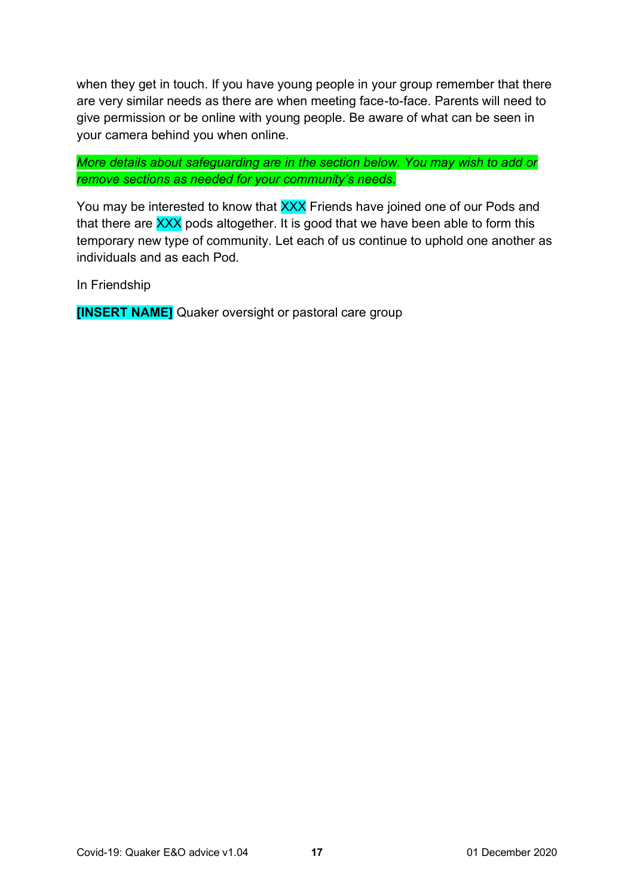when they get in touch. If you have young people in your group remember that there are very similar needs as there are when meeting face-to-face. Parents will need to give permission or be online with young people. Be aware of what can be seen in your camera behind you when online.

*More details about safeguarding are in the section below. You may wish to add or remove sections as needed for your community's needs.*

You may be interested to know that XXX Friends have joined one of our Pods and that there are XXX pods altogether. It is good that we have been able to form this temporary new type of community. Let each of us continue to uphold one another as individuals and as each Pod.

In Friendship

**[INSERT NAME]** Quaker oversight or pastoral care group